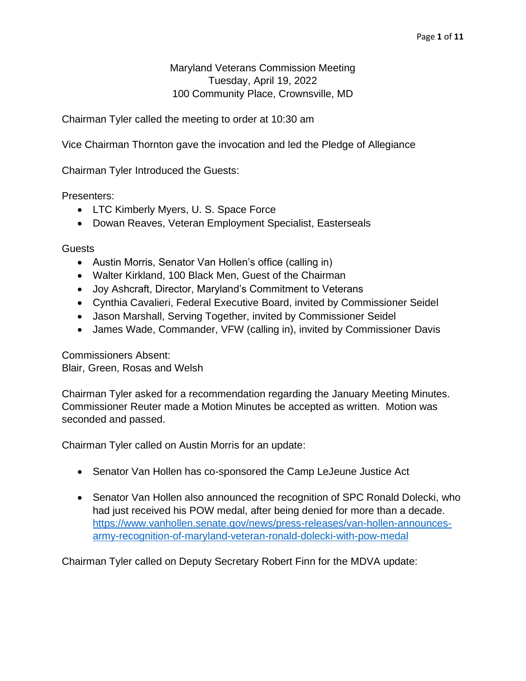Maryland Veterans Commission Meeting Tuesday, April 19, 2022 100 Community Place, Crownsville, MD

Chairman Tyler called the meeting to order at 10:30 am

Vice Chairman Thornton gave the invocation and led the Pledge of Allegiance

Chairman Tyler Introduced the Guests:

Presenters:

- LTC Kimberly Myers, U. S. Space Force
- Dowan Reaves, Veteran Employment Specialist, Easterseals

**Guests** 

- Austin Morris, Senator Van Hollen's office (calling in)
- Walter Kirkland, 100 Black Men, Guest of the Chairman
- Joy Ashcraft, Director, Maryland's Commitment to Veterans
- Cynthia Cavalieri, Federal Executive Board, invited by Commissioner Seidel
- Jason Marshall, Serving Together, invited by Commissioner Seidel
- James Wade, Commander, VFW (calling in), invited by Commissioner Davis

Commissioners Absent: Blair, Green, Rosas and Welsh

Chairman Tyler asked for a recommendation regarding the January Meeting Minutes. Commissioner Reuter made a Motion Minutes be accepted as written. Motion was seconded and passed.

Chairman Tyler called on Austin Morris for an update:

- Senator Van Hollen has co-sponsored the Camp LeJeune Justice Act
- Senator Van Hollen also announced the recognition of SPC Ronald Dolecki, who had just received his POW medal, after being denied for more than a decade. [https://www.vanhollen.senate.gov/news/press-releases/van-hollen-announces](https://www.vanhollen.senate.gov/news/press-releases/van-hollen-announces-army-recognition-of-maryland-veteran-ronald-dolecki-with-pow-medal)[army-recognition-of-maryland-veteran-ronald-dolecki-with-pow-medal](https://www.vanhollen.senate.gov/news/press-releases/van-hollen-announces-army-recognition-of-maryland-veteran-ronald-dolecki-with-pow-medal)

Chairman Tyler called on Deputy Secretary Robert Finn for the MDVA update: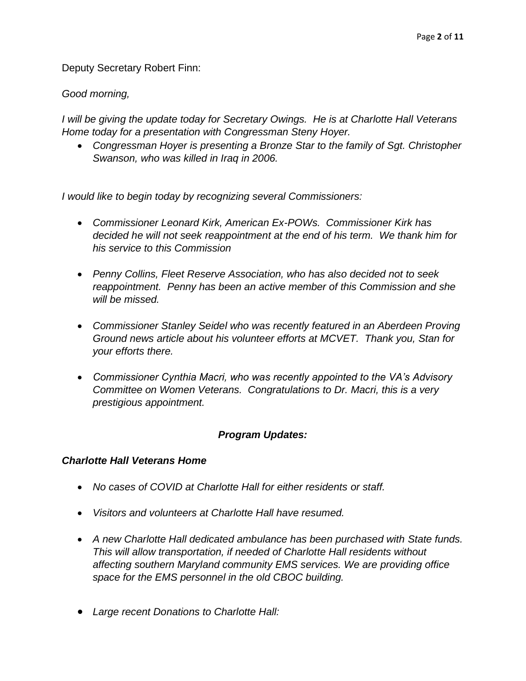Deputy Secretary Robert Finn:

### *Good morning,*

*I will be giving the update today for Secretary Owings. He is at Charlotte Hall Veterans Home today for a presentation with Congressman Steny Hoyer.*

• *Congressman Hoyer is presenting a Bronze Star to the family of Sgt. Christopher Swanson, who was killed in Iraq in 2006.*

*I would like to begin today by recognizing several Commissioners:*

- *Commissioner Leonard Kirk, American Ex-POWs. Commissioner Kirk has decided he will not seek reappointment at the end of his term. We thank him for his service to this Commission*
- *Penny Collins, Fleet Reserve Association, who has also decided not to seek reappointment. Penny has been an active member of this Commission and she will be missed.*
- *Commissioner Stanley Seidel who was recently featured in an Aberdeen Proving Ground news article about his volunteer efforts at MCVET. Thank you, Stan for your efforts there.*
- *Commissioner Cynthia Macri, who was recently appointed to the VA's Advisory Committee on Women Veterans. Congratulations to Dr. Macri, this is a very prestigious appointment.*

## *Program Updates:*

#### *Charlotte Hall Veterans Home*

- No cases of COVID at Charlotte Hall for either residents or staff.
- *Visitors and volunteers at Charlotte Hall have resumed.*
- *A new Charlotte Hall dedicated ambulance has been purchased with State funds. This will allow transportation, if needed of Charlotte Hall residents without affecting southern Maryland community EMS services. We are providing office space for the EMS personnel in the old CBOC building.*
- *Large recent Donations to Charlotte Hall:*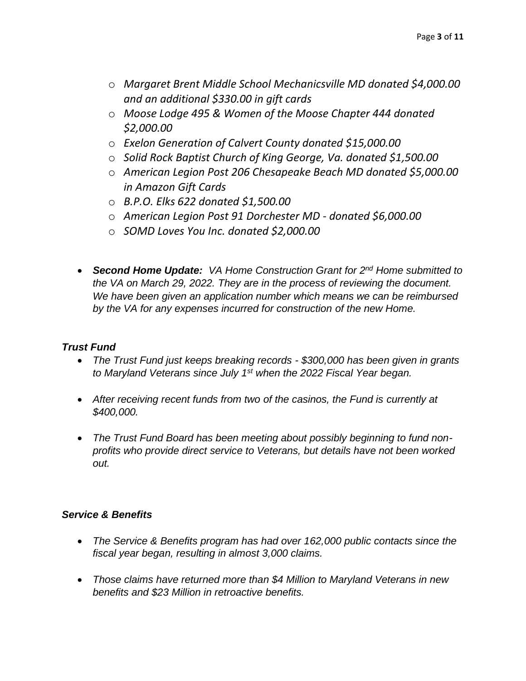- o *Margaret Brent Middle School Mechanicsville MD donated \$4,000.00 and an additional \$330.00 in gift cards*
- o *Moose Lodge 495 & Women of the Moose Chapter 444 donated \$2,000.00*
- o *Exelon Generation of Calvert County donated \$15,000.00*
- o *Solid Rock Baptist Church of King George, Va. donated \$1,500.00*
- o *American Legion Post 206 Chesapeake Beach MD donated \$5,000.00 in Amazon Gift Cards*
- o *B.P.O. Elks 622 donated \$1,500.00*
- o *American Legion Post 91 Dorchester MD - donated \$6,000.00*
- o *SOMD Loves You Inc. donated \$2,000.00*
- *Second Home Update: VA Home Construction Grant for 2nd Home submitted to the VA on March 29, 2022. They are in the process of reviewing the document. We have been given an application number which means we can be reimbursed by the VA for any expenses incurred for construction of the new Home.*

## *Trust Fund*

- *The Trust Fund just keeps breaking records - \$300,000 has been given in grants to Maryland Veterans since July 1st when the 2022 Fiscal Year began.*
- After receiving recent funds from two of the casinos, the Fund is currently at *\$400,000.*
- *The Trust Fund Board has been meeting about possibly beginning to fund nonprofits who provide direct service to Veterans, but details have not been worked out.*

## *Service & Benefits*

- *The Service & Benefits program has had over 162,000 public contacts since the fiscal year began, resulting in almost 3,000 claims.*
- *Those claims have returned more than \$4 Million to Maryland Veterans in new benefits and \$23 Million in retroactive benefits.*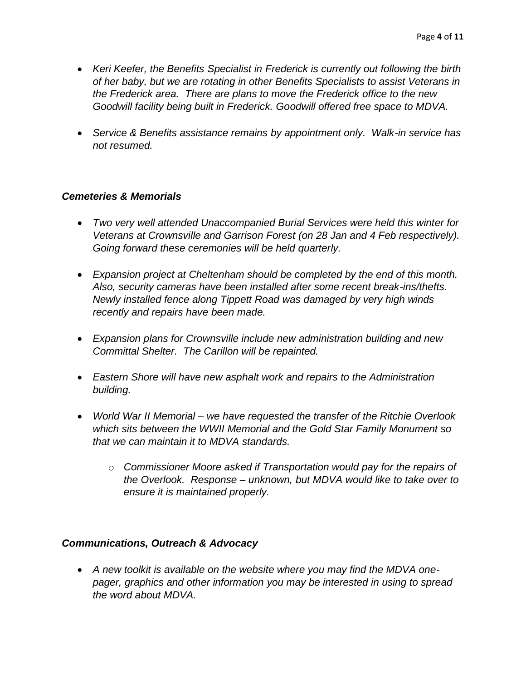- *Keri Keefer, the Benefits Specialist in Frederick is currently out following the birth of her baby, but we are rotating in other Benefits Specialists to assist Veterans in the Frederick area. There are plans to move the Frederick office to the new Goodwill facility being built in Frederick. Goodwill offered free space to MDVA.*
- *Service & Benefits assistance remains by appointment only. Walk-in service has not resumed.*

#### *Cemeteries & Memorials*

- *Two very well attended Unaccompanied Burial Services were held this winter for Veterans at Crownsville and Garrison Forest (on 28 Jan and 4 Feb respectively). Going forward these ceremonies will be held quarterly.*
- *Expansion project at Cheltenham should be completed by the end of this month. Also, security cameras have been installed after some recent break-ins/thefts. Newly installed fence along Tippett Road was damaged by very high winds recently and repairs have been made.*
- *Expansion plans for Crownsville include new administration building and new Committal Shelter. The Carillon will be repainted.*
- *Eastern Shore will have new asphalt work and repairs to the Administration building.*
- *World War II Memorial – we have requested the transfer of the Ritchie Overlook which sits between the WWII Memorial and the Gold Star Family Monument so that we can maintain it to MDVA standards.*
	- o *Commissioner Moore asked if Transportation would pay for the repairs of the Overlook. Response – unknown, but MDVA would like to take over to ensure it is maintained properly.*

#### *Communications, Outreach & Advocacy*

• *A new toolkit is available on the website where you may find the MDVA onepager, graphics and other information you may be interested in using to spread the word about MDVA.*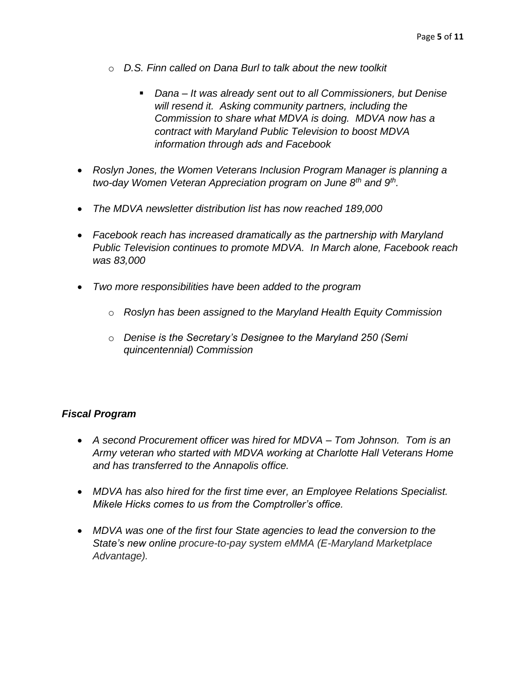- o *D.S. Finn called on Dana Burl to talk about the new toolkit*
	- *Dana It was already sent out to all Commissioners, but Denise will resend it. Asking community partners, including the Commission to share what MDVA is doing. MDVA now has a contract with Maryland Public Television to boost MDVA information through ads and Facebook*
- *Roslyn Jones, the Women Veterans Inclusion Program Manager is planning a two-day Women Veteran Appreciation program on June 8th and 9th .*
- *The MDVA newsletter distribution list has now reached 189,000*
- *Facebook reach has increased dramatically as the partnership with Maryland Public Television continues to promote MDVA. In March alone, Facebook reach was 83,000*
- *Two more responsibilities have been added to the program*
	- o *Roslyn has been assigned to the Maryland Health Equity Commission*
	- o *Denise is the Secretary's Designee to the Maryland 250 (Semi quincentennial) Commission*

## *Fiscal Program*

- *A second Procurement officer was hired for MDVA – Tom Johnson. Tom is an Army veteran who started with MDVA working at Charlotte Hall Veterans Home and has transferred to the Annapolis office.*
- *MDVA has also hired for the first time ever, an Employee Relations Specialist. Mikele Hicks comes to us from the Comptroller's office.*
- *MDVA was one of the first four State agencies to lead the conversion to the State's new online procure-to-pay system eMMA (E-Maryland Marketplace Advantage).*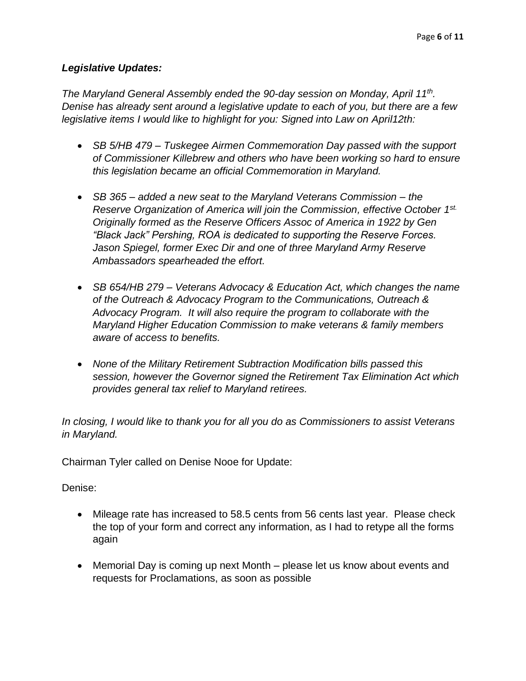# *Legislative Updates:*

*The Maryland General Assembly ended the 90-day session on Monday, April 11th . Denise has already sent around a legislative update to each of you, but there are a few legislative items I would like to highlight for you: Signed into Law on April12th:*

- *SB 5/HB 479 – Tuskegee Airmen Commemoration Day passed with the support of Commissioner Killebrew and others who have been working so hard to ensure this legislation became an official Commemoration in Maryland.*
- *SB 365 – added a new seat to the Maryland Veterans Commission – the Reserve Organization of America will join the Commission, effective October 1st. Originally formed as the Reserve Officers Assoc of America in 1922 by Gen "Black Jack" Pershing, ROA is dedicated to supporting the Reserve Forces. Jason Spiegel, former Exec Dir and one of three Maryland Army Reserve Ambassadors spearheaded the effort.*
- *SB 654/HB 279 – Veterans Advocacy & Education Act, which changes the name of the Outreach & Advocacy Program to the Communications, Outreach & Advocacy Program. It will also require the program to collaborate with the Maryland Higher Education Commission to make veterans & family members aware of access to benefits.*
- *None of the Military Retirement Subtraction Modification bills passed this session, however the Governor signed the Retirement Tax Elimination Act which provides general tax relief to Maryland retirees.*

*In closing, I would like to thank you for all you do as Commissioners to assist Veterans in Maryland.*

Chairman Tyler called on Denise Nooe for Update:

Denise:

- Mileage rate has increased to 58.5 cents from 56 cents last year. Please check the top of your form and correct any information, as I had to retype all the forms again
- Memorial Day is coming up next Month please let us know about events and requests for Proclamations, as soon as possible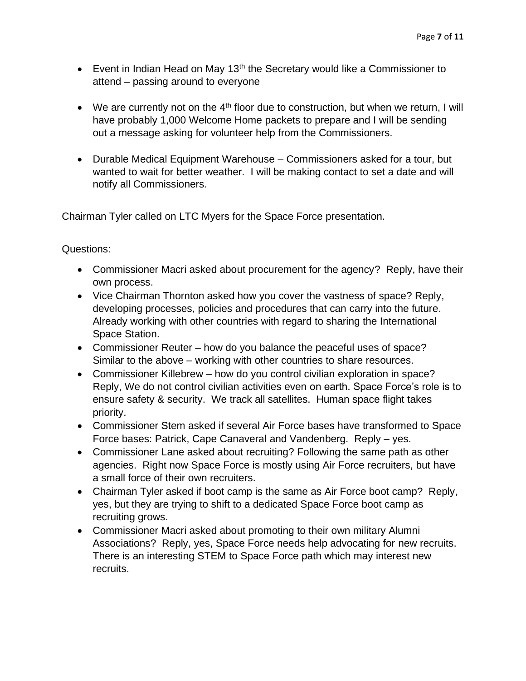- Event in Indian Head on May  $13<sup>th</sup>$  the Secretary would like a Commissioner to attend – passing around to everyone
- We are currently not on the  $4<sup>th</sup>$  floor due to construction, but when we return, I will have probably 1,000 Welcome Home packets to prepare and I will be sending out a message asking for volunteer help from the Commissioners.
- Durable Medical Equipment Warehouse Commissioners asked for a tour, but wanted to wait for better weather. I will be making contact to set a date and will notify all Commissioners.

Chairman Tyler called on LTC Myers for the Space Force presentation.

## Questions:

- Commissioner Macri asked about procurement for the agency? Reply, have their own process.
- Vice Chairman Thornton asked how you cover the vastness of space? Reply, developing processes, policies and procedures that can carry into the future. Already working with other countries with regard to sharing the International Space Station.
- Commissioner Reuter how do you balance the peaceful uses of space? Similar to the above – working with other countries to share resources.
- Commissioner Killebrew how do you control civilian exploration in space? Reply, We do not control civilian activities even on earth. Space Force's role is to ensure safety & security. We track all satellites. Human space flight takes priority.
- Commissioner Stem asked if several Air Force bases have transformed to Space Force bases: Patrick, Cape Canaveral and Vandenberg. Reply – yes.
- Commissioner Lane asked about recruiting? Following the same path as other agencies. Right now Space Force is mostly using Air Force recruiters, but have a small force of their own recruiters.
- Chairman Tyler asked if boot camp is the same as Air Force boot camp? Reply, yes, but they are trying to shift to a dedicated Space Force boot camp as recruiting grows.
- Commissioner Macri asked about promoting to their own military Alumni Associations? Reply, yes, Space Force needs help advocating for new recruits. There is an interesting STEM to Space Force path which may interest new recruits.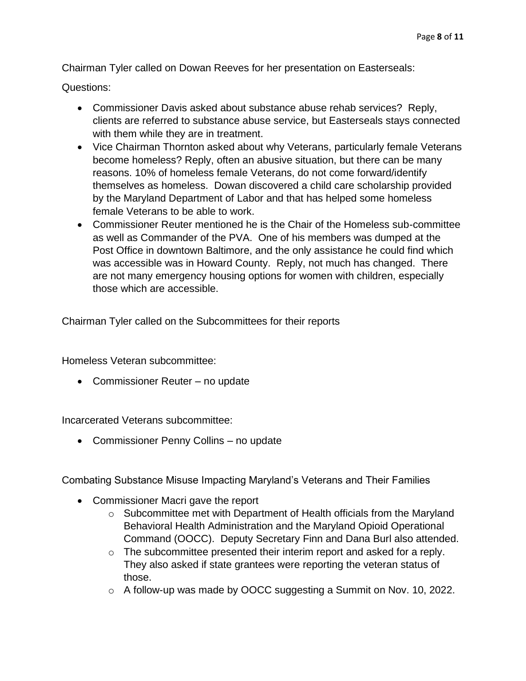Chairman Tyler called on Dowan Reeves for her presentation on Easterseals:

Questions:

- Commissioner Davis asked about substance abuse rehab services? Reply, clients are referred to substance abuse service, but Easterseals stays connected with them while they are in treatment.
- Vice Chairman Thornton asked about why Veterans, particularly female Veterans become homeless? Reply, often an abusive situation, but there can be many reasons. 10% of homeless female Veterans, do not come forward/identify themselves as homeless. Dowan discovered a child care scholarship provided by the Maryland Department of Labor and that has helped some homeless female Veterans to be able to work.
- Commissioner Reuter mentioned he is the Chair of the Homeless sub-committee as well as Commander of the PVA. One of his members was dumped at the Post Office in downtown Baltimore, and the only assistance he could find which was accessible was in Howard County. Reply, not much has changed. There are not many emergency housing options for women with children, especially those which are accessible.

Chairman Tyler called on the Subcommittees for their reports

Homeless Veteran subcommittee:

• Commissioner Reuter – no update

Incarcerated Veterans subcommittee:

• Commissioner Penny Collins – no update

Combating Substance Misuse Impacting Maryland's Veterans and Their Families

- Commissioner Macri gave the report
	- o Subcommittee met with Department of Health officials from the Maryland Behavioral Health Administration and the Maryland Opioid Operational Command (OOCC). Deputy Secretary Finn and Dana Burl also attended.
	- o The subcommittee presented their interim report and asked for a reply. They also asked if state grantees were reporting the veteran status of those.
	- o A follow-up was made by OOCC suggesting a Summit on Nov. 10, 2022.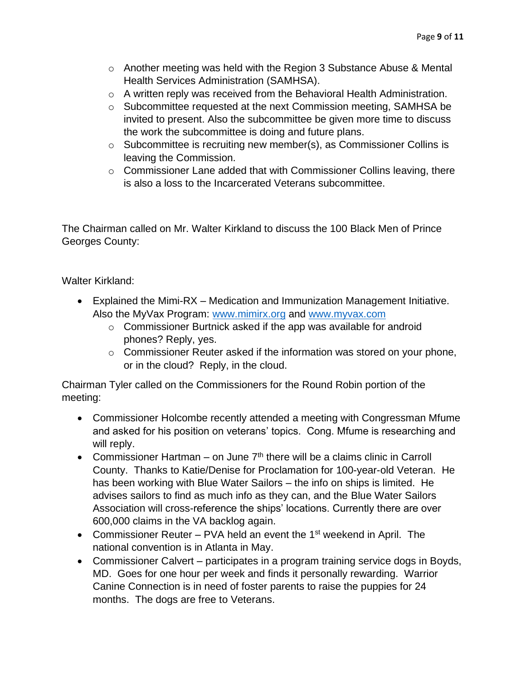- $\circ$  Another meeting was held with the Region 3 Substance Abuse & Mental Health Services Administration (SAMHSA).
- o A written reply was received from the Behavioral Health Administration.
- o Subcommittee requested at the next Commission meeting, SAMHSA be invited to present. Also the subcommittee be given more time to discuss the work the subcommittee is doing and future plans.
- o Subcommittee is recruiting new member(s), as Commissioner Collins is leaving the Commission.
- o Commissioner Lane added that with Commissioner Collins leaving, there is also a loss to the Incarcerated Veterans subcommittee.

The Chairman called on Mr. Walter Kirkland to discuss the 100 Black Men of Prince Georges County:

Walter Kirkland:

- Explained the Mimi-RX Medication and Immunization Management Initiative. Also the MyVax Program: [www.mimirx.org](http://www.mimirx.org/) and [www.myvax.com](http://www.myvax.com/)
	- o Commissioner Burtnick asked if the app was available for android phones? Reply, yes.
	- o Commissioner Reuter asked if the information was stored on your phone, or in the cloud? Reply, in the cloud.

Chairman Tyler called on the Commissioners for the Round Robin portion of the meeting:

- Commissioner Holcombe recently attended a meeting with Congressman Mfume and asked for his position on veterans' topics. Cong. Mfume is researching and will reply.
- Commissioner Hartman on June  $7<sup>th</sup>$  there will be a claims clinic in Carroll County. Thanks to Katie/Denise for Proclamation for 100-year-old Veteran. He has been working with Blue Water Sailors – the info on ships is limited. He advises sailors to find as much info as they can, and the Blue Water Sailors Association will cross-reference the ships' locations. Currently there are over 600,000 claims in the VA backlog again.
- Commissioner Reuter PVA held an event the 1<sup>st</sup> weekend in April. The national convention is in Atlanta in May.
- Commissioner Calvert participates in a program training service dogs in Boyds, MD. Goes for one hour per week and finds it personally rewarding. Warrior Canine Connection is in need of foster parents to raise the puppies for 24 months. The dogs are free to Veterans.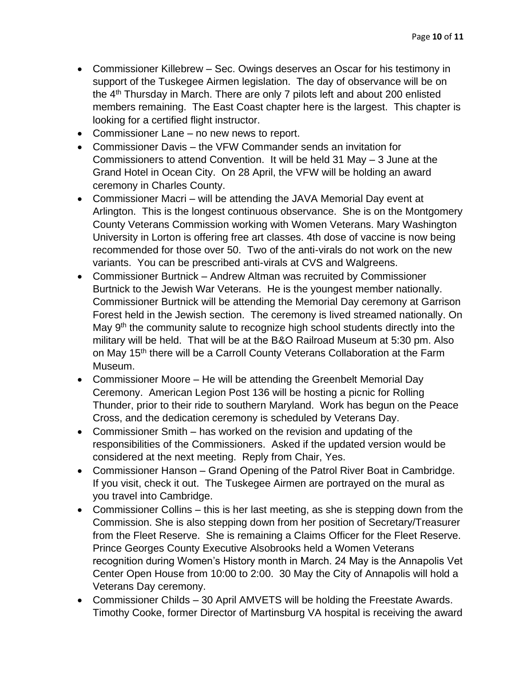- Commissioner Killebrew Sec. Owings deserves an Oscar for his testimony in support of the Tuskegee Airmen legislation. The day of observance will be on the  $4<sup>th</sup>$  Thursday in March. There are only 7 pilots left and about 200 enlisted members remaining. The East Coast chapter here is the largest. This chapter is looking for a certified flight instructor.
- Commissioner Lane no new news to report.
- Commissioner Davis the VFW Commander sends an invitation for Commissioners to attend Convention. It will be held 31 May – 3 June at the Grand Hotel in Ocean City. On 28 April, the VFW will be holding an award ceremony in Charles County.
- Commissioner Macri will be attending the JAVA Memorial Day event at Arlington. This is the longest continuous observance. She is on the Montgomery County Veterans Commission working with Women Veterans. Mary Washington University in Lorton is offering free art classes. 4th dose of vaccine is now being recommended for those over 50. Two of the anti-virals do not work on the new variants. You can be prescribed anti-virals at CVS and Walgreens.
- Commissioner Burtnick Andrew Altman was recruited by Commissioner Burtnick to the Jewish War Veterans. He is the youngest member nationally. Commissioner Burtnick will be attending the Memorial Day ceremony at Garrison Forest held in the Jewish section. The ceremony is lived streamed nationally. On May  $9<sup>th</sup>$  the community salute to recognize high school students directly into the military will be held. That will be at the B&O Railroad Museum at 5:30 pm. Also on May 15<sup>th</sup> there will be a Carroll County Veterans Collaboration at the Farm Museum.
- Commissioner Moore He will be attending the Greenbelt Memorial Day Ceremony. American Legion Post 136 will be hosting a picnic for Rolling Thunder, prior to their ride to southern Maryland. Work has begun on the Peace Cross, and the dedication ceremony is scheduled by Veterans Day.
- Commissioner Smith has worked on the revision and updating of the responsibilities of the Commissioners. Asked if the updated version would be considered at the next meeting. Reply from Chair, Yes.
- Commissioner Hanson Grand Opening of the Patrol River Boat in Cambridge. If you visit, check it out. The Tuskegee Airmen are portrayed on the mural as you travel into Cambridge.
- Commissioner Collins this is her last meeting, as she is stepping down from the Commission. She is also stepping down from her position of Secretary/Treasurer from the Fleet Reserve. She is remaining a Claims Officer for the Fleet Reserve. Prince Georges County Executive Alsobrooks held a Women Veterans recognition during Women's History month in March. 24 May is the Annapolis Vet Center Open House from 10:00 to 2:00. 30 May the City of Annapolis will hold a Veterans Day ceremony.
- Commissioner Childs 30 April AMVETS will be holding the Freestate Awards. Timothy Cooke, former Director of Martinsburg VA hospital is receiving the award